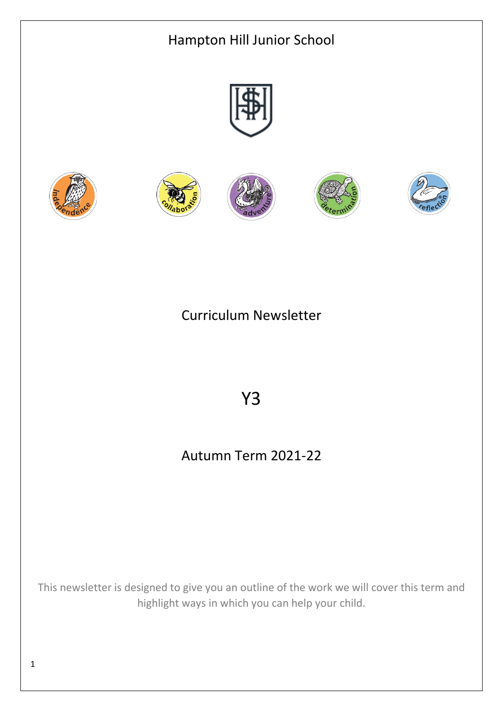

# Curriculum Newsletter

# Y3

# Autumn Term 2021-22

This newsletter is designed to give you an outline of the work we will cover this term and highlight ways in which you can help your child.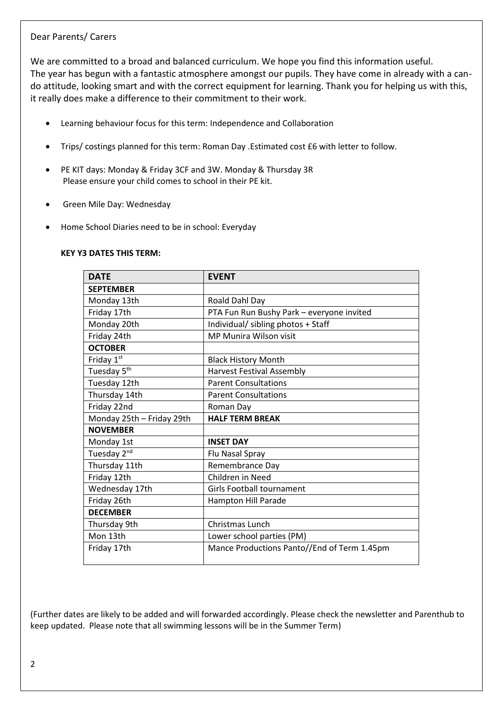# Dear Parents/ Carers

We are committed to a broad and balanced curriculum. We hope you find this information useful. The year has begun with a fantastic atmosphere amongst our pupils. They have come in already with a cando attitude, looking smart and with the correct equipment for learning. Thank you for helping us with this, it really does make a difference to their commitment to their work.

- Learning behaviour focus for this term: Independence and Collaboration
- Trips/ costings planned for this term: Roman Day .Estimated cost £6 with letter to follow.
- PE KIT days: Monday & Friday 3CF and 3W. Monday & Thursday 3R Please ensure your child comes to school in their PE kit.
- Green Mile Day: Wednesday
- Home School Diaries need to be in school: Everyday

#### **KEY Y3 DATES THIS TERM:**

| <b>DATE</b>               | <b>EVENT</b>                                |
|---------------------------|---------------------------------------------|
| <b>SEPTEMBER</b>          |                                             |
| Monday 13th               | Roald Dahl Day                              |
| Friday 17th               | PTA Fun Run Bushy Park - everyone invited   |
| Monday 20th               | Individual/ sibling photos + Staff          |
| Friday 24th               | <b>MP Munira Wilson visit</b>               |
| <b>OCTOBER</b>            |                                             |
| Friday $1st$              | <b>Black History Month</b>                  |
| Tuesday 5 <sup>th</sup>   | <b>Harvest Festival Assembly</b>            |
| Tuesday 12th              | <b>Parent Consultations</b>                 |
| Thursday 14th             | <b>Parent Consultations</b>                 |
| Friday 22nd               | Roman Day                                   |
| Monday 25th - Friday 29th | <b>HALF TERM BREAK</b>                      |
| <b>NOVEMBER</b>           |                                             |
| Monday 1st                | <b>INSET DAY</b>                            |
| Tuesday 2 <sup>nd</sup>   | Flu Nasal Spray                             |
| Thursday 11th             | Remembrance Day                             |
| Friday 12th               | Children in Need                            |
| Wednesday 17th            | Girls Football tournament                   |
| Friday 26th               | Hampton Hill Parade                         |
| <b>DECEMBER</b>           |                                             |
| Thursday 9th              | Christmas Lunch                             |
| Mon 13th                  | Lower school parties (PM)                   |
| Friday 17th               | Mance Productions Panto//End of Term 1.45pm |
|                           |                                             |

(Further dates are likely to be added and will forwarded accordingly. Please check the newsletter and Parenthub to keep updated. Please note that all swimming lessons will be in the Summer Term)